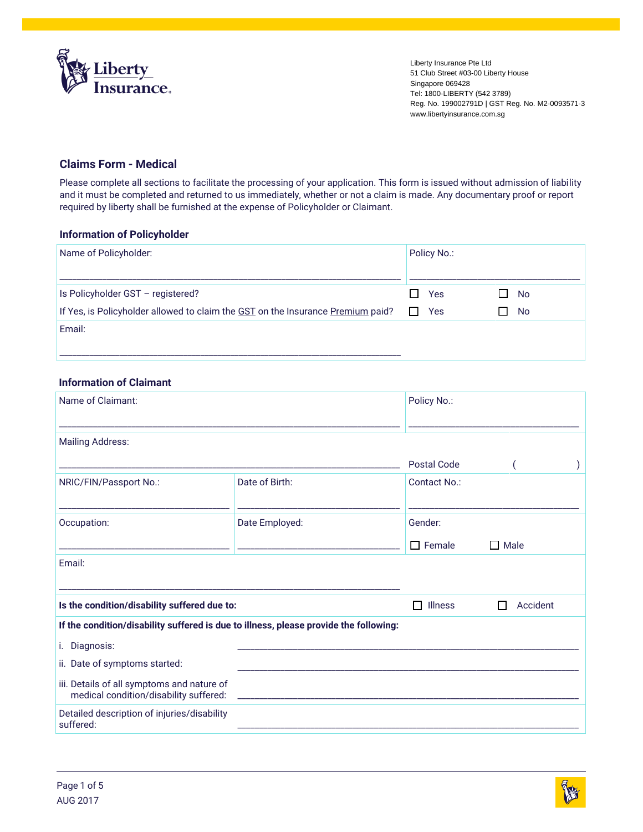

Liberty Insurance Pte Ltd 51 Club Street #03-00 Liberty House Singapore 069428 Tel: 1800-LIBERTY (542 3789) Reg. No. 199002791D | GST Reg. No. M2-0093571-3 www.libertyinsurance.com.sg

# **Claims Form - Medical**

Please complete all sections to facilitate the processing of your application. This form is issued without admission of liability and it must be completed and returned to us immediately, whether or not a claim is made. Any documentary proof or report required by liberty shall be furnished at the expense of Policyholder or Claimant.

### **Information of Policyholder**

| Name of Policyholder:                                                           | Policy No.: |           |  |
|---------------------------------------------------------------------------------|-------------|-----------|--|
| Is Policyholder GST - registered?                                               | Yes<br>l 1  | <b>No</b> |  |
| If Yes, is Policyholder allowed to claim the GST on the Insurance Premium paid? | Yes         | No        |  |
| Email:                                                                          |             |           |  |
|                                                                                 |             |           |  |

# **Information of Claimant**

| Name of Claimant:                                                                    | Policy No.:                                                                           |                    |             |
|--------------------------------------------------------------------------------------|---------------------------------------------------------------------------------------|--------------------|-------------|
| <b>Mailing Address:</b>                                                              |                                                                                       |                    |             |
|                                                                                      |                                                                                       | <b>Postal Code</b> |             |
| NRIC/FIN/Passport No.:                                                               | Date of Birth:                                                                        | Contact No.:       |             |
| Occupation:                                                                          | Date Employed:                                                                        | Gender:            |             |
|                                                                                      |                                                                                       | $\Box$ Female      | $\Box$ Male |
| Email:                                                                               |                                                                                       |                    |             |
| Is the condition/disability suffered due to:                                         |                                                                                       | <b>Illness</b>     | Accident    |
|                                                                                      | If the condition/disability suffered is due to illness, please provide the following: |                    |             |
| i. Diagnosis:                                                                        |                                                                                       |                    |             |
| ii. Date of symptoms started:                                                        |                                                                                       |                    |             |
| iii. Details of all symptoms and nature of<br>medical condition/disability suffered: |                                                                                       |                    |             |
| Detailed description of injuries/disability<br>suffered:                             |                                                                                       |                    |             |

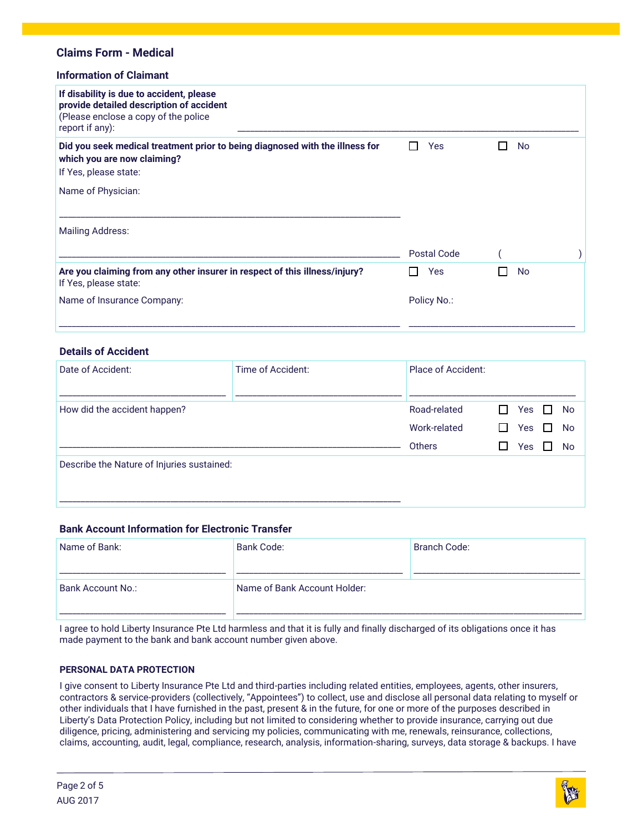## **Information of Claimant**

| If disability is due to accident, please<br>provide detailed description of accident<br>(Please enclose a copy of the police<br>report if any): |             |           |
|-------------------------------------------------------------------------------------------------------------------------------------------------|-------------|-----------|
| Did you seek medical treatment prior to being diagnosed with the illness for<br>which you are now claiming?<br>If Yes, please state:            | Yes         | No        |
| Name of Physician:                                                                                                                              |             |           |
| <b>Mailing Address:</b>                                                                                                                         |             |           |
|                                                                                                                                                 | Postal Code |           |
| Are you claiming from any other insurer in respect of this illness/injury?<br>If Yes, please state:                                             | <b>Yes</b>  | <b>No</b> |
| Name of Insurance Company:                                                                                                                      | Policy No.: |           |

#### **Details of Accident**

| Date of Accident:                          | Time of Accident: | <b>Place of Accident:</b>              |            |                          |                              |
|--------------------------------------------|-------------------|----------------------------------------|------------|--------------------------|------------------------------|
| How did the accident happen?               |                   | Road-related<br>Work-related<br>Others | - 1<br>- 1 | Yes<br>Yes<br><b>Yes</b> | No<br><b>No</b><br><b>No</b> |
| Describe the Nature of Injuries sustained: |                   |                                        |            |                          |                              |

### **Bank Account Information for Electronic Transfer**

| Name of Bank:     | <b>Bank Code:</b>            | Branch Code: |
|-------------------|------------------------------|--------------|
| Bank Account No.: | Name of Bank Account Holder: |              |

I agree to hold Liberty Insurance Pte Ltd harmless and that it is fully and finally discharged of its obligations once it has made payment to the bank and bank account number given above.

#### **PERSONAL DATA PROTECTION**

I give consent to Liberty Insurance Pte Ltd and third-parties including related entities, employees, agents, other insurers, contractors & service-providers (collectively, "Appointees") to collect, use and disclose all personal data relating to myself or other individuals that I have furnished in the past, present & in the future, for one or more of the purposes described in Liberty's Data Protection Policy, including but not limited to considering whether to provide insurance, carrying out due diligence, pricing, administering and servicing my policies, communicating with me, renewals, reinsurance, collections, claims, accounting, audit, legal, compliance, research, analysis, information-sharing, surveys, data storage & backups. I have

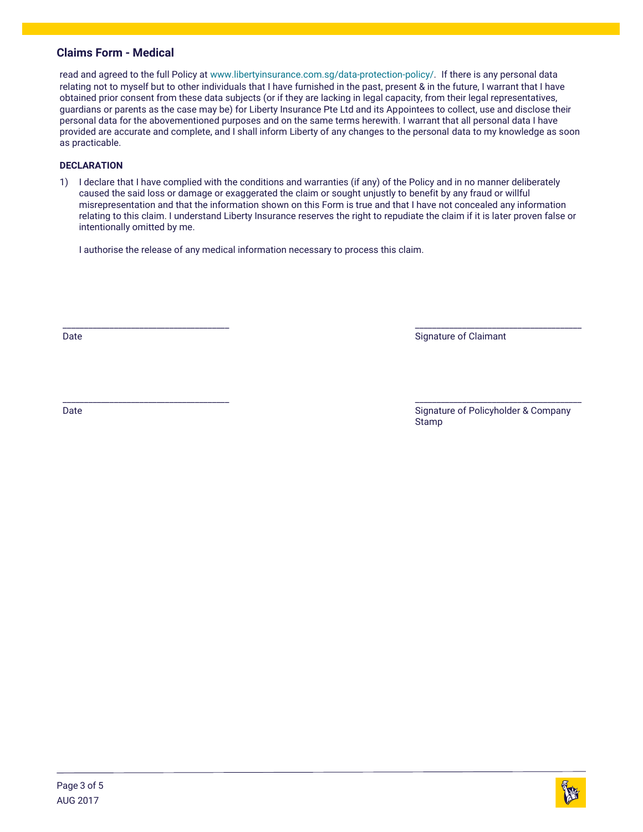read and agreed to the full Policy at [www.libertyinsurance.com.sg/data-protection-policy/.](http://www.libertyinsurance.com.sg/data-protection-policy/) If there is any personal data relating not to myself but to other individuals that I have furnished in the past, present & in the future, I warrant that I have obtained prior consent from these data subjects (or if they are lacking in legal capacity, from their legal representatives, guardians or parents as the case may be) for Liberty Insurance Pte Ltd and its Appointees to collect, use and disclose their personal data for the abovementioned purposes and on the same terms herewith. I warrant that all personal data I have provided are accurate and complete, and I shall inform Liberty of any changes to the personal data to my knowledge as soon as practicable.

### **DECLARATION**

1) I declare that I have complied with the conditions and warranties (if any) of the Policy and in no manner deliberately caused the said loss or damage or exaggerated the claim or sought unjustly to benefit by any fraud or willful misrepresentation and that the information shown on this Form is true and that I have not concealed any information relating to this claim. I understand Liberty Insurance reserves the right to repudiate the claim if it is later proven false or intentionally omitted by me.

I authorise the release of any medical information necessary to process this claim.

Date

\_\_\_\_\_\_\_\_\_\_\_\_\_\_\_\_\_\_\_\_\_\_\_\_\_\_\_\_\_\_\_\_\_\_\_\_\_\_\_

Signature of Claimant

\_\_\_\_\_\_\_\_\_\_\_\_\_\_\_\_\_\_\_\_\_\_\_\_\_\_\_\_\_\_\_\_\_\_\_\_\_\_\_ Date

\_\_\_\_\_\_\_\_\_\_\_\_\_\_\_\_\_\_\_\_\_\_\_\_\_\_\_\_\_\_\_\_\_\_\_\_\_\_\_ Signature of Policyholder & Company Stamp

\_\_\_\_\_\_\_\_\_\_\_\_\_\_\_\_\_\_\_\_\_\_\_\_\_\_\_\_\_\_\_\_\_\_\_\_\_\_\_

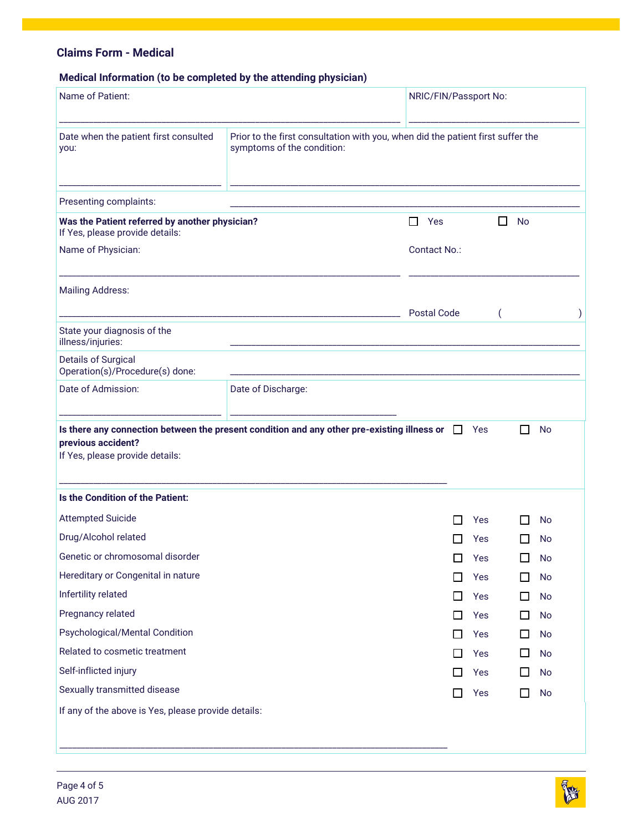# **Medical Information (to be completed by the attending physician)**

| Name of Patient:                                                                  |                                                                                                               | NRIC/FIN/Passport No: |        |     |   |              |           |  |
|-----------------------------------------------------------------------------------|---------------------------------------------------------------------------------------------------------------|-----------------------|--------|-----|---|--------------|-----------|--|
| Date when the patient first consulted<br>you:                                     | Prior to the first consultation with you, when did the patient first suffer the<br>symptoms of the condition: |                       |        |     |   |              |           |  |
| Presenting complaints:                                                            |                                                                                                               |                       |        |     |   |              |           |  |
| Was the Patient referred by another physician?<br>If Yes, please provide details: |                                                                                                               | □<br>Yes              |        |     | ப | <b>No</b>    |           |  |
| Name of Physician:                                                                |                                                                                                               | Contact No.:          |        |     |   |              |           |  |
| <b>Mailing Address:</b>                                                           |                                                                                                               | <b>Postal Code</b>    |        |     |   |              |           |  |
| State your diagnosis of the<br>illness/injuries:                                  |                                                                                                               |                       |        |     |   |              |           |  |
| <b>Details of Surgical</b><br>Operation(s)/Procedure(s) done:                     |                                                                                                               |                       |        |     |   |              |           |  |
| Date of Admission:                                                                | Date of Discharge:                                                                                            |                       |        |     |   |              |           |  |
| previous accident?<br>If Yes, please provide details:                             | Is there any connection between the present condition and any other pre-existing illness or                   |                       | $\Box$ | Yes |   | $\mathsf{L}$ | <b>No</b> |  |
| Is the Condition of the Patient:                                                  |                                                                                                               |                       |        |     |   |              |           |  |
| <b>Attempted Suicide</b>                                                          |                                                                                                               |                       |        | Yes |   |              | No        |  |
| Drug/Alcohol related                                                              |                                                                                                               |                       |        | Yes |   |              | No        |  |
| Genetic or chromosomal disorder                                                   |                                                                                                               |                       | $\Box$ | Yes |   | $\Box$       | <b>No</b> |  |
| Hereditary or Congenital in nature                                                |                                                                                                               |                       |        | Yes |   |              | No        |  |
| Infertility related                                                               |                                                                                                               |                       | П      | Yes |   | ΙI           | No        |  |
| Pregnancy related                                                                 |                                                                                                               |                       | □      | Yes |   | □            | No        |  |
| Psychological/Mental Condition                                                    |                                                                                                               |                       | □      | Yes |   | □            | No        |  |
| Related to cosmetic treatment                                                     |                                                                                                               |                       | П      | Yes |   | ப            | No        |  |
| Self-inflicted injury                                                             |                                                                                                               |                       | □      | Yes |   | $\Box$       | No        |  |
| Sexually transmitted disease                                                      |                                                                                                               |                       | □      | Yes |   | П            | No        |  |
| If any of the above is Yes, please provide details:                               |                                                                                                               |                       |        |     |   |              |           |  |
|                                                                                   |                                                                                                               |                       |        |     |   |              |           |  |